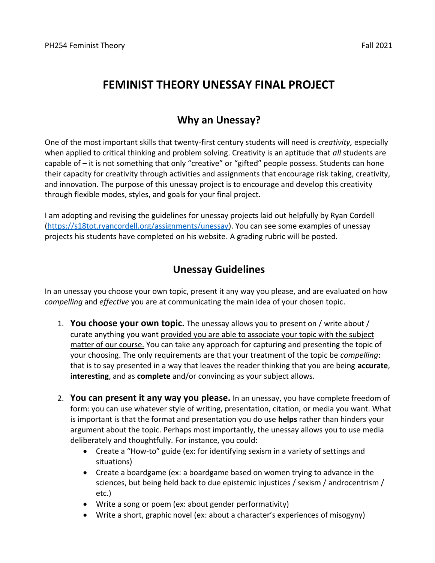# **FEMINIST THEORY UNESSAY FINAL PROJECT**

### **Why an Unessay?**

One of the most important skills that twenty-first century students will need is *creativity,* especially when applied to critical thinking and problem solving. Creativity is an aptitude that *all* students are capable of – it is not something that only "creative" or "gifted" people possess. Students can hone their capacity for creativity through activities and assignments that encourage risk taking, creativity, and innovation. The purpose of this unessay project is to encourage and develop this creativity through flexible modes, styles, and goals for your final project.

I am adopting and revising the guidelines for unessay projects laid out helpfully by Ryan Cordell [\(https://s18tot.ryancordell.org/assignments/unessay\)](https://s18tot.ryancordell.org/assignments/unessay). You can see some examples of unessay projects his students have completed on his website. A grading rubric will be posted.

#### **Unessay Guidelines**

In an unessay you choose your own topic, present it any way you please, and are evaluated on how *compelling* and *effective* you are at communicating the main idea of your chosen topic.

- 1. **You choose your own topic.** The unessay allows you to present on / write about / curate anything you want provided you are able to associate your topic with the subject matter of our course. You can take any approach for capturing and presenting the topic of your choosing. The only requirements are that your treatment of the topic be *compelling*: that is to say presented in a way that leaves the reader thinking that you are being **accurate**, **interesting**, and as **complete** and/or convincing as your subject allows.
- 2. **You can present it any way you please.** In an unessay, you have complete freedom of form: you can use whatever style of writing, presentation, citation, or media you want. What is important is that the format and presentation you do use **helps** rather than hinders your argument about the topic. Perhaps most importantly, the unessay allows you to use media deliberately and thoughtfully. For instance, you could:
	- Create a "How-to" guide (ex: for identifying sexism in a variety of settings and situations)
	- Create a boardgame (ex: a boardgame based on women trying to advance in the sciences, but being held back to due epistemic injustices / sexism / androcentrism / etc.)
	- Write a song or poem (ex: about gender performativity)
	- Write a short, graphic novel (ex: about a character's experiences of misogyny)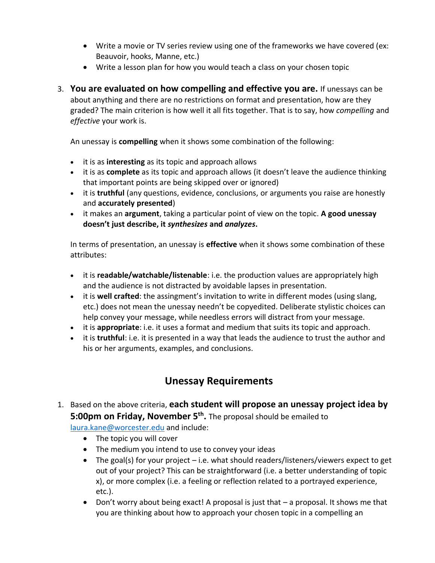- Write a movie or TV series review using one of the frameworks we have covered (ex: Beauvoir, hooks, Manne, etc.)
- Write a lesson plan for how you would teach a class on your chosen topic
- 3. **You are evaluated on how compelling and effective you are.** If unessays can be about anything and there are no restrictions on format and presentation, how are they graded? The main criterion is how well it all fits together. That is to say, how *compelling* and *effective* your work is.

An unessay is **compelling** when it shows some combination of the following:

- it is as **interesting** as its topic and approach allows
- it is as **complete** as its topic and approach allows (it doesn't leave the audience thinking that important points are being skipped over or ignored)
- it is **truthful** (any questions, evidence, conclusions, or arguments you raise are honestly and **accurately presented**)
- it makes an **argument**, taking a particular point of view on the topic. **A good unessay doesn't just describe, it** *synthesizes* **and** *analyzes***.**

In terms of presentation, an unessay is **effective** when it shows some combination of these attributes:

- it is **readable/watchable/listenable**: i.e. the production values are appropriately high and the audience is not distracted by avoidable lapses in presentation.
- it is **well crafted**: the assingment's invitation to write in different modes (using slang, etc.) does not mean the unessay needn't be copyedited. Deliberate stylistic choices can help convey your message, while needless errors will distract from your message.
- it is **appropriate**: i.e. it uses a format and medium that suits its topic and approach.
- it is **truthful**: i.e. it is presented in a way that leads the audience to trust the author and his or her arguments, examples, and conclusions.

### **Unessay Requirements**

- 1. Based on the above criteria, **each student will propose an unessay project idea by 5:00pm on Friday, November 5th .** The proposal should be emailed to [laura.kane@worcester.edu](mailto:laura.kane@worcester.edu) and include:
	- The topic you will cover
	- The medium you intend to use to convey your ideas
	- The goal(s) for your project i.e. what should readers/listeners/viewers expect to get out of your project? This can be straightforward (i.e. a better understanding of topic x), or more complex (i.e. a feeling or reflection related to a portrayed experience, etc.).
	- Don't worry about being exact! A proposal is just that a proposal. It shows me that you are thinking about how to approach your chosen topic in a compelling an